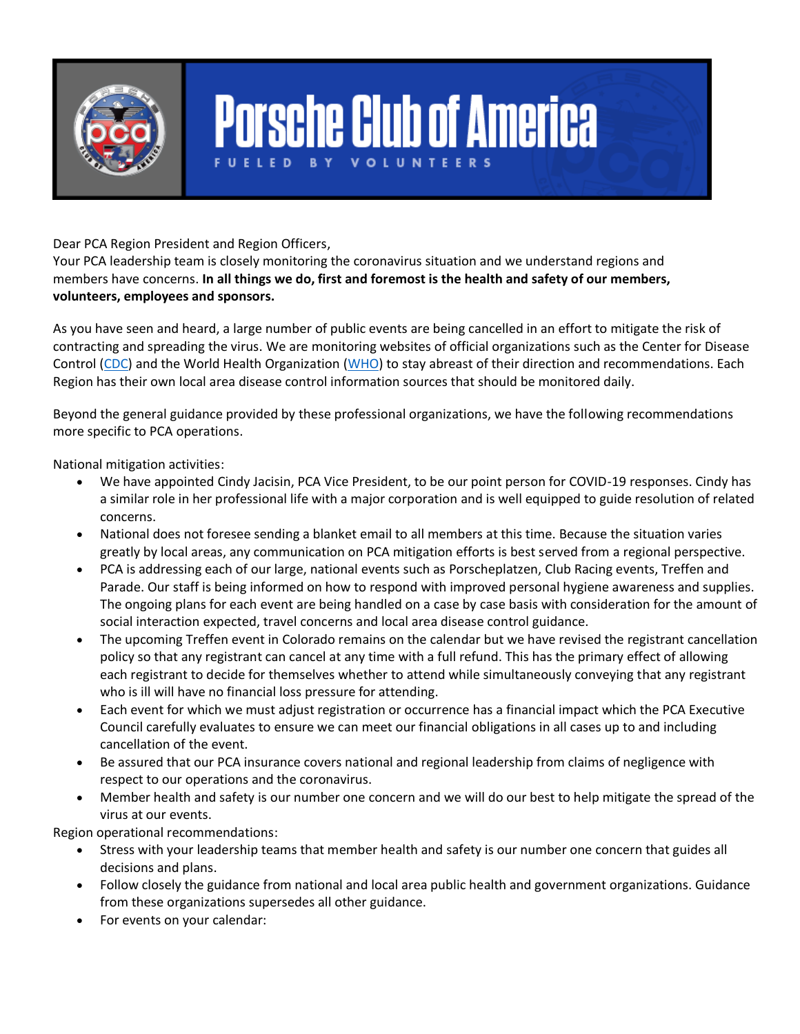

## **Porsche Club of America BY VOLUNTEE**

Dear PCA Region President and Region Officers,

Your PCA leadership team is closely monitoring the coronavirus situation and we understand regions and members have concerns. **In all things we do, first and foremost is the health and safety of our members, volunteers, employees and sponsors.**

As you have seen and heard, a large number of public events are being cancelled in an effort to mitigate the risk of contracting and spreading the virus. We are monitoring websites of official organizations such as the Center for Disease Control [\(CDC\)](https://www.cdc.gov/) and the World Health Organization [\(WHO\)](https://www.who.int/) to stay abreast of their direction and recommendations. Each Region has their own local area disease control information sources that should be monitored daily.

Beyond the general guidance provided by these professional organizations, we have the following recommendations more specific to PCA operations.

National mitigation activities:

- We have appointed Cindy Jacisin, PCA Vice President, to be our point person for COVID-19 responses. Cindy has a similar role in her professional life with a major corporation and is well equipped to guide resolution of related concerns.
- National does not foresee sending a blanket email to all members at this time. Because the situation varies greatly by local areas, any communication on PCA mitigation efforts is best served from a regional perspective.
- PCA is addressing each of our large, national events such as Porscheplatzen, Club Racing events, Treffen and Parade. Our staff is being informed on how to respond with improved personal hygiene awareness and supplies. The ongoing plans for each event are being handled on a case by case basis with consideration for the amount of social interaction expected, travel concerns and local area disease control guidance.
- The upcoming Treffen event in Colorado remains on the calendar but we have revised the registrant cancellation policy so that any registrant can cancel at any time with a full refund. This has the primary effect of allowing each registrant to decide for themselves whether to attend while simultaneously conveying that any registrant who is ill will have no financial loss pressure for attending.
- Each event for which we must adjust registration or occurrence has a financial impact which the PCA Executive Council carefully evaluates to ensure we can meet our financial obligations in all cases up to and including cancellation of the event.
- Be assured that our PCA insurance covers national and regional leadership from claims of negligence with respect to our operations and the coronavirus.
- Member health and safety is our number one concern and we will do our best to help mitigate the spread of the virus at our events.

Region operational recommendations:

- Stress with your leadership teams that member health and safety is our number one concern that guides all decisions and plans.
- Follow closely the guidance from national and local area public health and government organizations. Guidance from these organizations supersedes all other guidance.
- For events on your calendar: